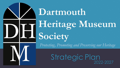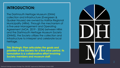### **INTRODUCTION:**

The Dartmouth Heritage Museum (DHM) collection and infrastructure (Evergreen & Quaker Houses) are owned by Halifax Regional Municipality (HRM). Through the mechanism of a five-year Management and Operating Agreement (MOA, 2019 - 2024) between HRM and the Dartmouth Heritage Museum Society (DHMS), the Society utilizes the collection and infrastructure to interpret and celebrate local heritage.

**This Strategic Plan articulates the goals and priorities of the Society for a five-year period. Its formulation is a collaborative effort involving Society members and museum staff.** 

![](_page_1_Picture_3.jpeg)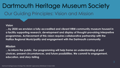## Dartmouth Heritage Museum Society Our Guiding Principles: Vision and Mission

#### **Vision**

**…by 2030 we envision a fully-accredited and vibrant HRM community museum housed in a facility supporting research, development and display of thought-provoking interpretive programmes. Achievement of this vision requires collaborative partnership with the Halifax Regional Municipality and engagement with the Dartmouth community**

#### **Mission**

**…to inform the public. Our programming will help frame an understanding of past choices, present circumstances, and future possibilities. We commit to engagement, education, and story-telling**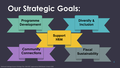# **Our Strategic Goals:**

![](_page_3_Figure_1.jpeg)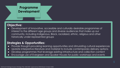![](_page_4_Picture_0.jpeg)

Development of innovative, accessible and culturally desirable programmes of interest to the different age groups and diverse audiences that make up our community, including Indigenous, Black, racialized, ethnic, religious and other historically under-represented groups

- Provide thought-provoking learning opportunities and stimulating cultural experiences
- Update interpretive literature and material to include contemporary delivery options
- Develop programmes that leverage existing infrastructure and collection content
- Encourage use of Evergreen and Quaker Houses for public workshops and events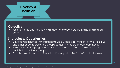![](_page_5_Picture_0.jpeg)

Foster diversity and inclusion in all facets of museum programming and related activity

- Develop relationships with Indigenous, Black, racialized, minority, ethnic, religious and other under-represented groups comprising the Dartmouth community
- Ensure interpretive programmes acknowledge and reflect the existence and contributions of these groups
- Provide diversity and inclusion education opportunities for staff and volunteers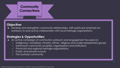![](_page_6_Picture_0.jpeg)

Develop and strengthen community relationships, with particular emphasis on outreach to and active collaboration with local heritage organizations

- An active campaign of community outreach and engagement focused on:
	- Indigenous, racialized, minority, ethnic, religious and under-represented groups
	- Dartmouth community societies, organizations and institutions
	- Provincial and regional heritage organizations
	- Public and private schools
	- The business community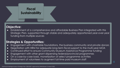![](_page_7_Picture_0.jpeg)

Establishment of a comprehensive and affordable Business Plan integrated with this Strategic Plan, supported through stable and adequately apportioned year-over-year funding from multiple sources

- Engagement with charitable foundations, the business community and private donors
- Negotiation with HRM for adequate long-term fiscal support to the multi-year MOA
- Continued effort to ensure Community Museum Assistance Programme funding
- Engagement with other grant-dispensing federal/provincial programmes
- On a case-by-case basis, monetization of select programme activities
- Employment of volunteers to augment full-time paid museum staff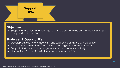![](_page_8_Picture_0.jpeg)

Support HRM culture and heritage (C & H) objectives while simultaneously striving to comply with HR policies

- Develop exhibits synonymous with and supportive of HRM C & H objectives
- Contribute to realization of HRMs integrated regional museum strategy
- Support HRM collection management and maintenance activity
- Harmonize HRM and DHMS HR and remuneration policies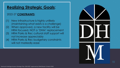## **Realizing Strategic Goals**:

#### 2022-27 **CONSTRAINTS**:

- (1) New infrastructure is highly unlikely (maintaining what exists is a challenge)
- (2) When approved, a new facility will be HRM focused, NOT a 'DHM' replacement
- (3) HRM Parks & Rec cultural staff support will not increase appreciably
- (4) HRM Parks & Rec budgetary constraints will not markedly ease

| $\sum_{i=1}^{n}$ |                      |   |
|------------------|----------------------|---|
|                  | $\blacktriangledown$ | 0 |